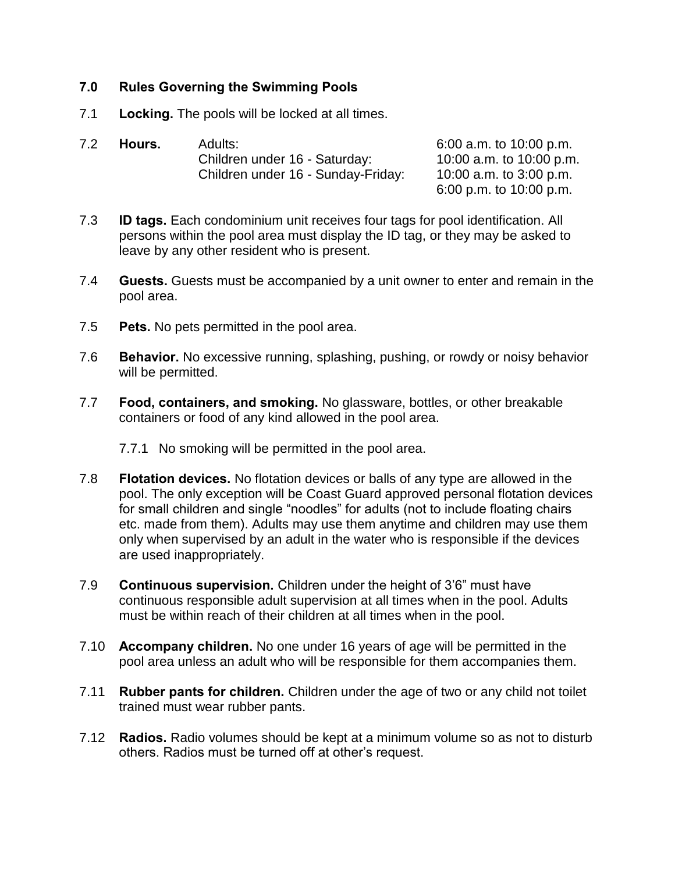## **7.0 Rules Governing the Swimming Pools**

- 7.1 **Locking.** The pools will be locked at all times.
- 7.2 **Hours.** Adults: 6:00 a.m. to 10:00 p.m. Children under 16 - Saturday: 10:00 a.m. to 10:00 p.m. Children under 16 - Sunday-Friday: 10:00 a.m. to 3:00 p.m.

6:00 p.m. to 10:00 p.m.

- 7.3 **ID tags.** Each condominium unit receives four tags for pool identification. All persons within the pool area must display the ID tag, or they may be asked to leave by any other resident who is present.
- 7.4 **Guests.** Guests must be accompanied by a unit owner to enter and remain in the pool area.
- 7.5 **Pets.** No pets permitted in the pool area.
- 7.6 **Behavior.** No excessive running, splashing, pushing, or rowdy or noisy behavior will be permitted.
- 7.7 **Food, containers, and smoking.** No glassware, bottles, or other breakable containers or food of any kind allowed in the pool area.

## 7.7.1 No smoking will be permitted in the pool area.

- 7.8 **Flotation devices.** No flotation devices or balls of any type are allowed in the pool. The only exception will be Coast Guard approved personal flotation devices for small children and single "noodles" for adults (not to include floating chairs etc. made from them). Adults may use them anytime and children may use them only when supervised by an adult in the water who is responsible if the devices are used inappropriately.
- 7.9 **Continuous supervision.** Children under the height of 3'6" must have continuous responsible adult supervision at all times when in the pool. Adults must be within reach of their children at all times when in the pool.
- 7.10 **Accompany children.** No one under 16 years of age will be permitted in the pool area unless an adult who will be responsible for them accompanies them.
- 7.11 **Rubber pants for children.** Children under the age of two or any child not toilet trained must wear rubber pants.
- 7.12 **Radios.** Radio volumes should be kept at a minimum volume so as not to disturb others. Radios must be turned off at other's request.